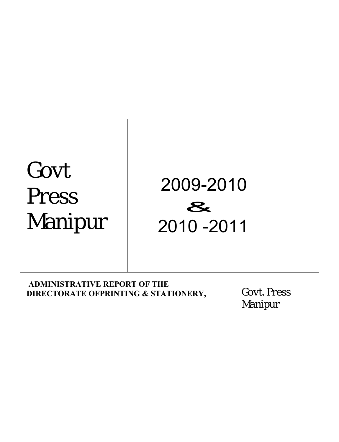# Govt Press Manipur



# **ADMINISTRATIVE REPORT OF THE DIRECTORATE OFPRINTING & STATIONERY, GOVT. Press**

Manipur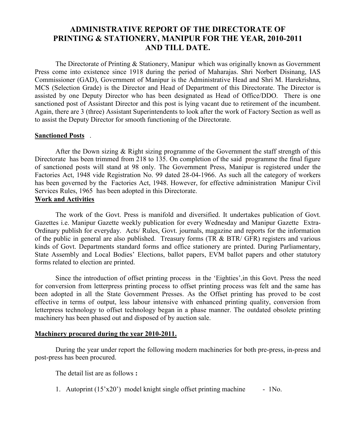# **ADMINISTRATIVE REPORT OF THE DIRECTORATE OF PRINTING & STATIONERY, MANIPUR FOR THE YEAR, 2010-2011 AND TILL DATE.**

The Directorate of Printing & Stationery, Manipur which was originally known as Government Press come into existence since 1918 during the period of Maharajas. Shri Norbert Disinang, IAS Commissioner (GAD), Government of Manipur is the Administrative Head and Shri M. Harekrishna, MCS (Selection Grade) is the Director and Head of Department of this Directorate. The Director is assisted by one Deputy Director who has been designated as Head of Office/DDO. There is one sanctioned post of Assistant Director and this post is lying vacant due to retirement of the incumbent. Again, there are 3 (three) Assistant Superintendents to look after the work of Factory Section as well as to assist the Deputy Director for smooth functioning of the Directorate.

### **Sanctioned Posts** .

After the Down sizing & Right sizing programme of the Government the staff strength of this Directorate has been trimmed from 218 to 135. On completion of the said programme the final figure of sanctioned posts will stand at 98 only. The Government Press, Manipur is registered under the Factories Act, 1948 vide Registration No. 99 dated 28-04-1966. As such all the category of workers has been governed by the Factories Act, 1948. However, for effective administration Manipur Civil Services Rules, 1965 has been adopted in this Directorate.

## **Work and Activities**

The work of the Govt. Press is manifold and diversified. It undertakes publication of Govt. Gazettes i.e. Manipur Gazette weekly publication for every Wednesday and Manipur Gazette Extra-Ordinary publish for everyday. Acts/ Rules, Govt. journals, magazine and reports for the information of the public in general are also published. Treasury forms (TR & BTR/ GFR) registers and various kinds of Govt. Departments standard forms and office stationery are printed. During Parliamentary, State Assembly and Local Bodies' Elections, ballot papers, EVM ballot papers and other statutory forms related to election are printed.

Since the introduction of offset printing process in the 'Eighties',in this Govt. Press the need for conversion from letterpress printing process to offset printing process was felt and the same has been adopted in all the State Government Presses. As the Offset printing has proved to be cost effective in terms of output, less labour intensive with enhanced printing quality, conversion from letterpress technology to offset technology began in a phase manner. The outdated obsolete printing machinery has been phased out and disposed of by auction sale.

## **Machinery procured during the year 2010-2011.**

During the year under report the following modern machineries for both pre-press, in-press and post-press has been procured.

The detail list are as follows **:**

1. Autoprint (15'x20') model knight single offset printing machine - 1No.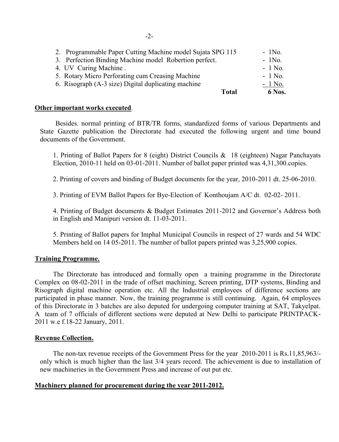| Total                                                      | 6 Nos.   |
|------------------------------------------------------------|----------|
| 6. Risograph (A-3 size) Digital duplicating machine        | $-1$ No. |
| 5. Rotary Micro Perforating cum Creasing Machine           | $-1$ No. |
| 4. UV Curing Machine.                                      | $-1$ No. |
| 3. Perfection Binding Machine model Robertion perfect.     | $-1$ No. |
| 2. Programmable Paper Cutting Machine model Sujata SPG 115 | $-1N0$ . |

#### **Other important works executed**.

Besides. normal printing of BTR/TR forms, standardized forms of various Departments and State Gazette publication the Directorate had executed the following urgent and time bound documents of the Government.

1. Printing of Ballot Papers for 8 (eight) District Councils & 18 (eighteen) Nagar Panchayats Election, 2010-11 held on 03-01-2011. Number of ballot paper printed was 4,31,300.copies.

2. Printing of covers and binding of Budget documents for the year, 2010-2011 dt. 25-06-2010.

3. Printing of EVM Ballot Papers for Bye-Election of Konthoujam A/C dt. 02-02- 2011.

4. Printing of Budget documents & Budget Estimates 2011-2012 and Governor's Address both in English and Manipuri version dt. 11-03-2011.

5. Printing of Ballot papers for Imphal Municipal Councils in respect of 27 wards and 54 WDC Members held on 14 05-2011. The number of ballot papers printed was 3,25,900 copies.

#### **Training Programme.**

The Directorate has introduced and formally open a training programme in the Directorate Complex on 08-02-2011 in the trade of offset machining, Screen printing, DTP systems, Binding and Risograph digital machine operation etc. All the Industrial employees of difference sections are participated in phase manner. Now, the training programme is still continuing. Again, 64 employees of this Directorate in 3 batches are also deputed for undergoing computer training at SAT, Takyelpat. A team of 7 officials of different sections were deputed at New Delhi to participate PRINTPACK-2011 w.e f.18-22 January, 2011.

#### **Revenue Collection.**

The non-tax revenue receipts of the Government Press for the year 2010-2011 is Rs.11,85,963/ only which is much higher than the last 3/4 years record. The achievement is due to installation of new machineries in the Government Press and increase of out put etc.

#### **Machinery planned for procurement during the year 2011-2012.**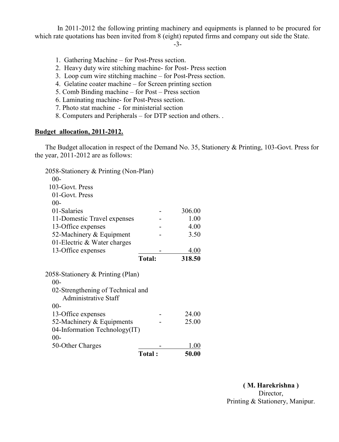In 2011-2012 the following printing machinery and equipments is planned to be procured for which rate quotations has been invited from 8 (eight) reputed firms and company out side the State.

-3-

- 1. Gathering Machine for Post-Press section.
- 2. Heavy duty wire stitching machine- for Post- Press section
- 3. Loop cum wire stitching machine for Post-Press section.
- 4. Gelatine coater machine for Screen printing section
- 5. Comb Binding machine for Post Press section
- 6. Laminating machine- for Post-Press section.
- 7. Photo stat machine for ministerial section
- 8. Computers and Peripherals for DTP section and others. .

#### **Budget allocation, 2011-2012.**

The Budget allocation in respect of the Demand No. 35, Stationery & Printing, 103-Govt. Press for the year, 2011-2012 are as follows:

| $00 -$<br>50-Other Charges        | <b>Total:</b> | 1.00<br>50.00 |
|-----------------------------------|---------------|---------------|
|                                   |               |               |
|                                   |               |               |
| 04-Information Technology(IT)     |               |               |
| 52-Machinery $&$ Equipments       |               | 25.00         |
| 13-Office expenses                |               | 24.00         |
| $00 -$                            |               |               |
| <b>Administrative Staff</b>       |               |               |
| 02-Strengthening of Technical and |               |               |
| $00 -$                            |               |               |
| 2058-Stationery & Printing (Plan) |               |               |
|                                   | <b>Total:</b> | 318.50        |
| 13-Office expenses                |               | 4.00          |
| 01-Electric $& Water charges$     |               |               |
| 52-Machinery & Equipment          |               | 3.50          |
| 13-Office expenses                |               | 4.00          |
| 11-Domestic Travel expenses       |               | 1.00          |
| 01-Salaries                       |               | 306.00        |
| $00 -$                            |               |               |
| 01-Govt. Press                    |               |               |
| 103-Govt. Press                   |               |               |
| $00 -$                            |               |               |
|                                   |               |               |

**( M. Harekrishna )** Director, Printing & Stationery, Manipur.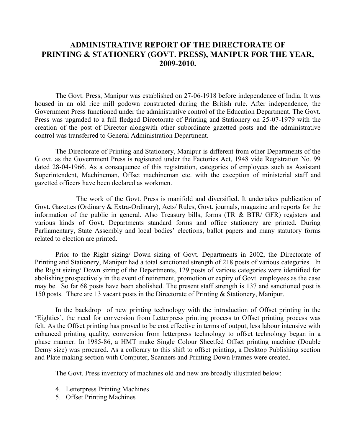## **ADMINISTRATIVE REPORT OF THE DIRECTORATE OF PRINTING & STATIONERY (GOVT. PRESS), MANIPUR FOR THE YEAR, 2009-2010.**

The Govt. Press, Manipur was established on 27-06-1918 before independence of India. It was housed in an old rice mill godown constructed during the British rule. After independence, the Government Press functioned under the administrative control of the Education Department. The Govt. Press was upgraded to a full fledged Directorate of Printing and Stationery on 25-07-1979 with the creation of the post of Director alongwith other subordinate gazetted posts and the administrative control was transferred to General Administration Department.

The Directorate of Printing and Stationery, Manipur is different from other Departments of the G ovt. as the Government Press is registered under the Factories Act, 1948 vide Registration No. 99 dated 28-04-1966. As a consequence of this registration, categories of employees such as Assistant Superintendent, Machineman, Offset machineman etc. with the exception of ministerial staff and gazetted officers have been declared as workmen.

The work of the Govt. Press is manifold and diversified. It undertakes publication of Govt. Gazettes (Ordinary & Extra-Ordinary), Acts/ Rules, Govt. journals, magazine and reports for the information of the public in general. Also Treasury bills, forms (TR & BTR/ GFR) registers and various kinds of Govt. Departments standard forms and office stationery are printed. During Parliamentary, State Assembly and local bodies' elections, ballot papers and many statutory forms related to election are printed.

Prior to the Right sizing/ Down sizing of Govt. Departments in 2002, the Directorate of Printing and Stationery, Manipur had a total sanctioned strength of 218 posts of various categories. In the Right sizing/ Down sizing of the Departments, 129 posts of various categories were identified for abolishing prospectively in the event of retirement, promotion or expiry of Govt. employees as the case may be. So far 68 posts have been abolished. The present staff strength is 137 and sanctioned post is 150 posts. There are 13 vacant posts in the Directorate of Printing & Stationery, Manipur.

In the backdrop of new printing technology with the introduction of Offset printing in the 'Eighties', the need for conversion from Letterpress printing process to Offset printing process was felt. As the Offset printing has proved to be cost effective in terms of output, less labour intensive with enhanced printing quality, conversion from letterpress technology to offset technology began in a phase manner. In 1985-86, a HMT make Single Colour Sheetfed Offset printing machine (Double Demy size) was procured. As a collorary to this shift to offset printing, a Desktop Publishing section and Plate making section with Computer, Scanners and Printing Down Frames were created.

The Govt. Press inventory of machines old and new are broadly illustrated below:

- 4. Letterpress Printing Machines
- 5. Offset Printing Machines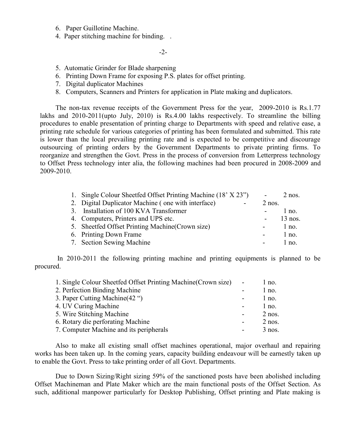- 6. Paper Guillotine Machine.
- 4. Paper stitching machine for binding. .

 $-2-$ 

- 5. Automatic Grinder for Blade sharpening
- 6. Printing Down Frame for exposing P.S. plates for offset printing.
- 7. Digital duplicator Machines
- 8. Computers, Scanners and Printers for application in Plate making and duplicators.

The non-tax revenue receipts of the Government Press for the year, 2009-2010 is Rs.1.77 lakhs and 2010-2011(upto July, 2010) is Rs.4.00 lakhs respectively. To streamline the billing procedures to enable presentation of printing charge to Departments with speed and relative ease, a printing rate schedule for various categories of printing has been formulated and submitted. This rate is lower than the local prevailing printing rate and is expected to be competitive and discourage outsourcing of printing orders by the Government Departments to private printing firms. To reorganize and strengthen the Govt. Press in the process of conversion from Letterpress technology to Offset Press technology inter alia, the following machines had been procured in 2008-2009 and 2009-2010.

| 1. Single Colour Sheetfed Offset Printing Machine (18' X 23") |                          | $2$ nos.  |
|---------------------------------------------------------------|--------------------------|-----------|
| 2. Digital Duplicator Machine (one with interface)            | $2$ nos.                 |           |
| 3. Installation of 100 KVA Transformer                        |                          | $1$ no.   |
| 4. Computers, Printers and UPS etc.                           |                          | $13$ nos. |
| 5. Sheetfed Offset Printing Machine (Crown size)              |                          | $1$ no.   |
| 6. Printing Down Frame                                        | $\overline{\phantom{a}}$ | $1$ no.   |
| 7. Section Sewing Machine                                     |                          | $1$ no.   |

In 2010-2011 the following printing machine and printing equipments is planned to be procured.

| 1. Single Colour Sheetfed Offset Printing Machine (Crown size) | l no.    |
|----------------------------------------------------------------|----------|
| 2. Perfection Binding Machine                                  | $1$ no.  |
| 3. Paper Cutting Machine (42 ")                                | $1$ no.  |
| 4. UV Curing Machine                                           | $1$ no.  |
| 5. Wire Stitching Machine                                      | $2$ nos. |
| 6. Rotary die perforating Machine                              | $2$ nos. |
| 7. Computer Machine and its peripherals                        | $3$ nos. |

Also to make all existing small offset machines operational, major overhaul and repairing works has been taken up. In the coming years, capacity building endeavour will be earnestly taken up to enable the Govt. Press to take printing order of all Govt. Departments.

Due to Down Sizing/Right sizing 59% of the sanctioned posts have been abolished including Offset Machineman and Plate Maker which are the main functional posts of the Offset Section. As such, additional manpower particularly for Desktop Publishing, Offset printing and Plate making is